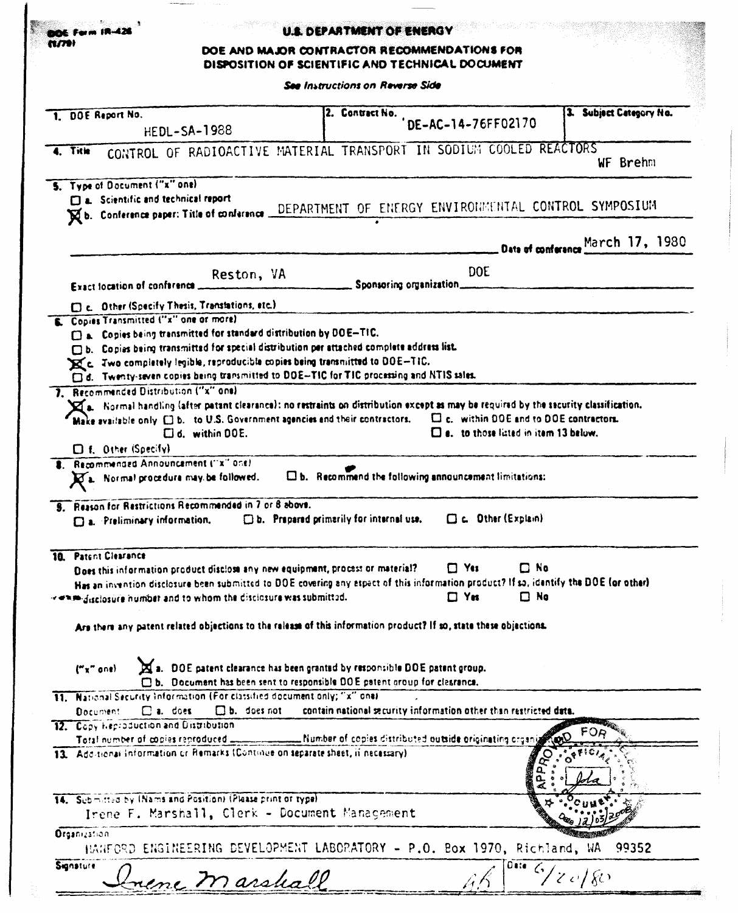| N7.                              |                                                                                                                          | DOE AND MAJOR CONTRACTOR RECOMMENDATIONS FOR<br>DISPOSITION OF SCIENTIFIC AND TECHNICAL DOCUMENT |                                                                                                                                                                                                                                                                      |                                                                                                                                                                                                                                                                                                                        |                                                                                                                                                                                                                                                                                                                                                                                                                    |  |  |  |
|----------------------------------|--------------------------------------------------------------------------------------------------------------------------|--------------------------------------------------------------------------------------------------|----------------------------------------------------------------------------------------------------------------------------------------------------------------------------------------------------------------------------------------------------------------------|------------------------------------------------------------------------------------------------------------------------------------------------------------------------------------------------------------------------------------------------------------------------------------------------------------------------|--------------------------------------------------------------------------------------------------------------------------------------------------------------------------------------------------------------------------------------------------------------------------------------------------------------------------------------------------------------------------------------------------------------------|--|--|--|
| See Instructions on Reverse Side |                                                                                                                          |                                                                                                  |                                                                                                                                                                                                                                                                      |                                                                                                                                                                                                                                                                                                                        |                                                                                                                                                                                                                                                                                                                                                                                                                    |  |  |  |
|                                  | 1. DOE Report No.                                                                                                        | <b>HEDL-SA-1988</b>                                                                              |                                                                                                                                                                                                                                                                      | 2. Contract No. DE-AC-14-76FF02170                                                                                                                                                                                                                                                                                     | 3. Subject Category No.                                                                                                                                                                                                                                                                                                                                                                                            |  |  |  |
|                                  | 4. Title                                                                                                                 |                                                                                                  |                                                                                                                                                                                                                                                                      | CONTROL OF RADIOACTIVE MATERIAL TRANSPORT IN SODIUM COOLED REACTORS                                                                                                                                                                                                                                                    | WF Brehm                                                                                                                                                                                                                                                                                                                                                                                                           |  |  |  |
|                                  | 5. Type of Document ("x" one)<br>a. Scientific and technical report                                                      |                                                                                                  |                                                                                                                                                                                                                                                                      | Rb. Conference paper: Title of conference DEPARTMENT OF ENERGY ENVIRONMENTAL CONTROL SYMPOSIUM                                                                                                                                                                                                                         |                                                                                                                                                                                                                                                                                                                                                                                                                    |  |  |  |
|                                  |                                                                                                                          |                                                                                                  |                                                                                                                                                                                                                                                                      |                                                                                                                                                                                                                                                                                                                        | Date of conference March 17, 1980                                                                                                                                                                                                                                                                                                                                                                                  |  |  |  |
|                                  | Exact location of conference                                                                                             | Reston, VA                                                                                       | Sponsoring organization                                                                                                                                                                                                                                              | <b>DOE</b>                                                                                                                                                                                                                                                                                                             |                                                                                                                                                                                                                                                                                                                                                                                                                    |  |  |  |
|                                  | [ ] c. Other (Specify Thesis, Translations, etc.)<br>Copies Transmitted ("x" one or more)                                |                                                                                                  |                                                                                                                                                                                                                                                                      |                                                                                                                                                                                                                                                                                                                        |                                                                                                                                                                                                                                                                                                                                                                                                                    |  |  |  |
|                                  | [ ] a. Copies being transmitted for standard distribution by DOE-TIC.<br>7. Recommended Distribution ("x" one)           |                                                                                                  | [b. Copies being transmitted for special distribution per attached complete address list.<br>E 2 Two completely legible, reproducible copies being transmitted to DOE-TIC.<br>d. Twenty-seven copies being transmitted to DOE-TIC for TIC processing and NTIS sales. | $\boxtimes$ a. Hormal handling (after patant clearance): no restraints on distribution except as may be required by the security classification.<br>Make available only $\Box$ b. to U.S. Government agencies and their contractors. $\Box$ c. within DOE and to DOE contractors.                                      |                                                                                                                                                                                                                                                                                                                                                                                                                    |  |  |  |
|                                  | $\Box$ f. Other (Specify)<br>8. Recommended Announcement ("x" one)<br>$\mathbf{Z}_k$ . Normal procedure may be followed. | Ud. within DOE.                                                                                  |                                                                                                                                                                                                                                                                      | $\square$ e. to those lated in item 13 below.<br>$\square$ b. Recommend the following announcement limitations:                                                                                                                                                                                                        |                                                                                                                                                                                                                                                                                                                                                                                                                    |  |  |  |
|                                  | <b>9.</b> Reason for Restrictions Recommended in 7 or 8 above.<br>D.a. Preliminary information.                          |                                                                                                  | $\square$ b. Prepared primarily for internal use,                                                                                                                                                                                                                    | C. Other (Explain)                                                                                                                                                                                                                                                                                                     |                                                                                                                                                                                                                                                                                                                                                                                                                    |  |  |  |
|                                  | 10. Patent Clearance<br>estimates as a minimizer and to whom the disclosure was submitted.                               |                                                                                                  | Does this information product disclose any new equipment, process or material?<br>("x" one) 3. DOE patent clearance has been granted by responsible DOE patent group.                                                                                                | $\square$ No<br>$\Box$ Yes<br>Has an invention disclosure been submitted to DOE covering any aspact of this information product? If so, identify the DOE (or other)<br>$\square$ No<br>$\Box$ YH<br>Are there any patent related objections to the release of this information product? If so, state these objections. |                                                                                                                                                                                                                                                                                                                                                                                                                    |  |  |  |
|                                  |                                                                                                                          |                                                                                                  | Db. Document has been sent to responsible DOE patent group for clesrance.                                                                                                                                                                                            |                                                                                                                                                                                                                                                                                                                        |                                                                                                                                                                                                                                                                                                                                                                                                                    |  |  |  |
|                                  | 11. National Security Information (For classified document only; "x" one)<br>$\square$ a. does<br><b>Document</b>        | $\Box$ b. does not                                                                               |                                                                                                                                                                                                                                                                      | contain national security information other than restricted data.                                                                                                                                                                                                                                                      |                                                                                                                                                                                                                                                                                                                                                                                                                    |  |  |  |
|                                  | 12. Copy Heproduction and Distribution                                                                                   |                                                                                                  |                                                                                                                                                                                                                                                                      |                                                                                                                                                                                                                                                                                                                        |                                                                                                                                                                                                                                                                                                                                                                                                                    |  |  |  |
|                                  |                                                                                                                          |                                                                                                  | Total number of copies reproduced _______________ Number of copies distributed outside originating organiz                                                                                                                                                           |                                                                                                                                                                                                                                                                                                                        |                                                                                                                                                                                                                                                                                                                                                                                                                    |  |  |  |
|                                  |                                                                                                                          |                                                                                                  | 13. Add-tional Information or Remarks (Continue on separate sheet, if necessary)                                                                                                                                                                                     |                                                                                                                                                                                                                                                                                                                        |                                                                                                                                                                                                                                                                                                                                                                                                                    |  |  |  |
|                                  | 14. Submitted by (Nams and Position) (Please print of type)                                                              |                                                                                                  | Irene F. Marshall, Clerk - Document Management                                                                                                                                                                                                                       |                                                                                                                                                                                                                                                                                                                        |                                                                                                                                                                                                                                                                                                                                                                                                                    |  |  |  |
|                                  | <b>Organization</b>                                                                                                      |                                                                                                  |                                                                                                                                                                                                                                                                      | HANFORD ENGINEERING DEVELOPMENT LABORATORY - P.O. Box 1970, Richland, WA                                                                                                                                                                                                                                               | 99352                                                                                                                                                                                                                                                                                                                                                                                                              |  |  |  |
|                                  | Signature                                                                                                                | Laene Marshall                                                                                   |                                                                                                                                                                                                                                                                      |                                                                                                                                                                                                                                                                                                                        | $\int_{0}^{\frac{1}{2}} \frac{1}{\sqrt{2}} \int_{0}^{\frac{1}{2}} \frac{1}{\sqrt{2}} \int_{0}^{\frac{1}{2}} \frac{1}{\sqrt{2}} \int_{0}^{\frac{1}{2}} \frac{1}{\sqrt{2}} \int_{0}^{\frac{1}{2}} \frac{1}{\sqrt{2}} \int_{0}^{\frac{1}{2}} \frac{1}{\sqrt{2}} \int_{0}^{\frac{1}{2}} \frac{1}{\sqrt{2}} \int_{0}^{\frac{1}{2}} \frac{1}{\sqrt{2}} \int_{0}^{\frac{1}{2}} \frac{1}{\sqrt{2}} \int_{0}^{\frac{1}{2}}$ |  |  |  |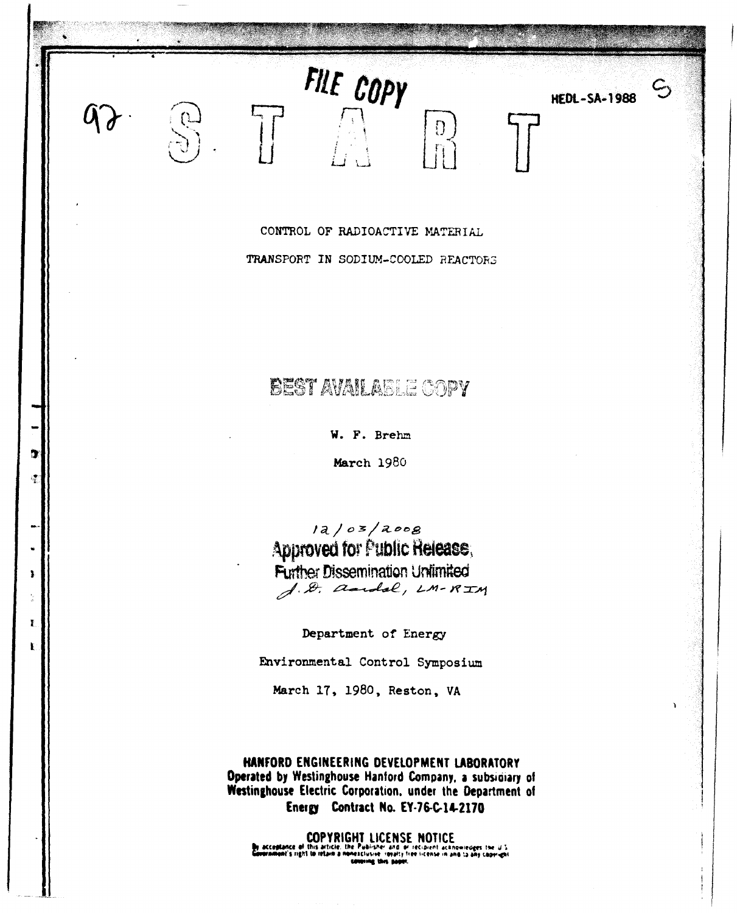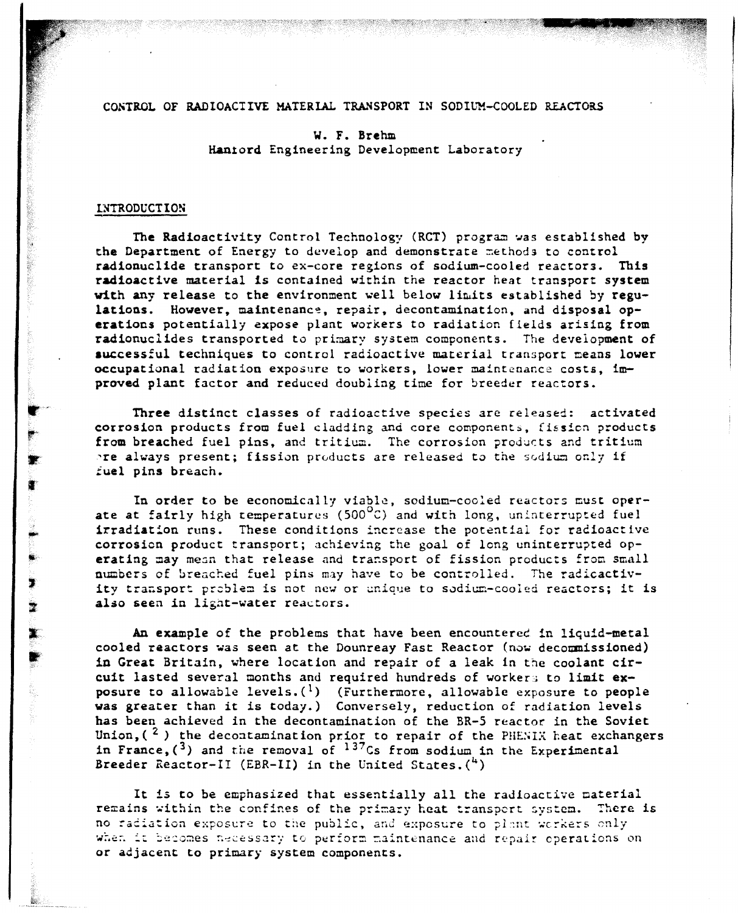#### CONTROL OF RADIOACTIVE MATERIAL TRANSPORT IN SODIUM-COOLED REACTORS

#### w. F. Brehm Hanlord Engineering Development Laboratory

#### LNTRODUCTION

讆

 $\blacktriangleright$ 

 $\bullet$ 

The Radioactivity Control Technology (RCT) program was established by the Department of Energy to develop and demonstrate methods to control radionuclide transport to ex-core regions of sodium-cooled reactors. Ibis radioactive material is contained within the reactor heat transport system with any release to the environment well below limits established by regulations. However, maintenance, repair, decontamination, and disposal operations potentially expose plant workers to radiation fields arising from radionuclides transported to primary system components. The development of auccessful techniques to control radioactive material transport means lower occupational radiation exposure to workers, lower maintenance costs, improved plant factor and reduced doubling time for breeder reactors.

Three distinct classes of radioactive species are released: activated corrosion products from fuel cladding and core components, fission products from breached fuel pins, and tritium. The corrosion products and tritium re always present; fission products are released to the sodium only if iuel pins breach.

In order to be economically viable, sodium-cooled reactors must operate at fairly high temperatures (500 $^{\circ}$ C) and with long, uninterrupted fuel irradiation runs. These conditions increase the potential for radioactive corrosion product transport; achieving the goal of long uninterrupted operating may mean that release and transport of fission products from small numbers of breached fuel pins may have to be controlled. The radicactivity transport problem is not new or unique to sodium-cooled reactors; it is also seen in light-water reactors.

An example of the problems that have been encounterec in liquid-metal cooled reactors was seen at the Dounreay Fast Reactor (now decommissioned) in Great Britain, where location and repair of <sup>a</sup> leak In the coolant circuit lasted several months and required hundreds of worker; to limit exposure to allowable levels. $(1)$  (Furthermore, allowable exposure to people was greater than it is today.) Conversely, reduction of radiation levels has been achieved in the decontamination of the BR-5 reactor in the Soviet Union,  $\binom{2}{r}$  the decontamination prior to repair of the PHENIX heat exchangers in France,  $(\sqrt{3})$  and the removal of  $137$ Cs from sodium in the Experimental Breeder Reactor-II (EBR-II) in the United States. $(4)$ 

It is to be emphasized that essentially all the radioactive material remains within the confines of the primary heat transport system. There is no radiation exposure to the public, and exposure to plant workers only when it becomes necessary to perform maintenance and repair operations on or adjacent to primary system components.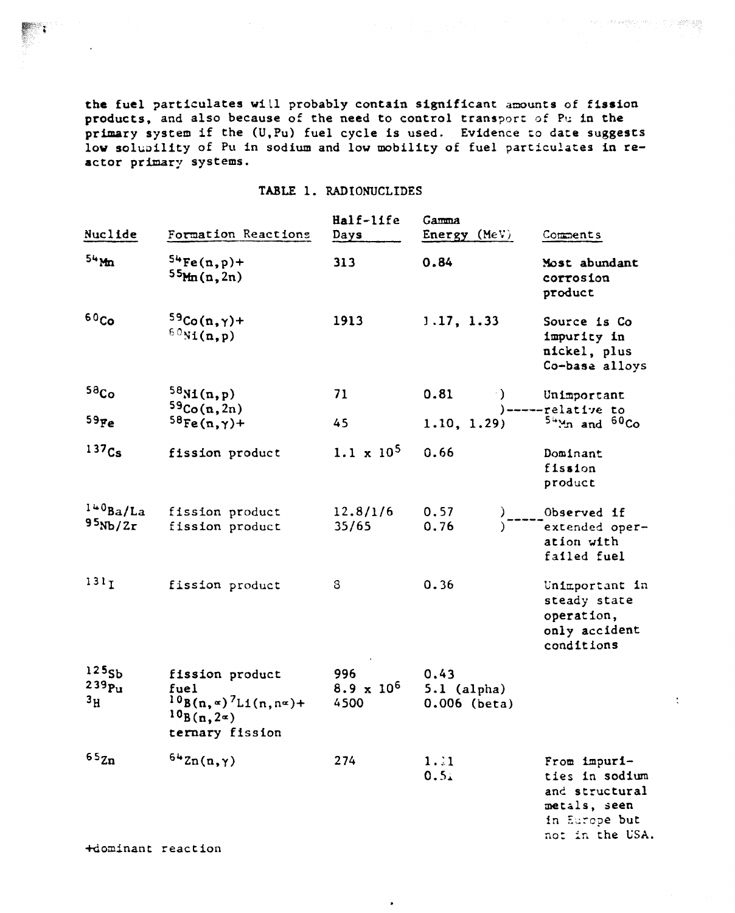the fuel particulates will probably contain significant amounts of fission products, and also because of the need to control transport of Pu in the primary system if the (U.Pu) fuel cycle is used. Evidence to date suggests low solubility of Pu in sodium and low mobility of fuel particulates in reactor primary systems.

The Constitution of Participate

 $\ddot{\ddot{\zeta}}$ 

#### TABLE 1. RADIONUCLIDES

| Nuclide                                                  | Formation Reactions                                                                                               | Half-life<br>Days                | Gamma<br>$Energy$ (MeV)                                                                                                                                                                                                                                | Comments                                                                                             |
|----------------------------------------------------------|-------------------------------------------------------------------------------------------------------------------|----------------------------------|--------------------------------------------------------------------------------------------------------------------------------------------------------------------------------------------------------------------------------------------------------|------------------------------------------------------------------------------------------------------|
| $54$ Mm                                                  | $54Fe(n,p)+$<br>55(m(n, 2n))                                                                                      | 313                              | 0.84                                                                                                                                                                                                                                                   | Most abundant<br>corrosion<br>product                                                                |
| 60 <sub>Co</sub>                                         | $59Co(n,\gamma)+$<br>$60$ Ni(n,p)                                                                                 | 1913                             | 1.17, 1.33                                                                                                                                                                                                                                             | Source is Co<br>impurity in<br>nickel, plus<br>Co-base alloys                                        |
| 58 <sub>Co</sub><br>$59$ Fe                              | 58M(n,p)<br>59Co(n, 2n)<br>$58Fe(n,\gamma)+$                                                                      | 71<br>45                         | 0.81<br>(1911). Politica de la provincia de la provincia de la provincia de la provincia de la provincia de la provinc<br>De la provincia de la provincia de la provincia de la provincia de la provincia de la provincia de la provinci<br>1.10, 1.29 | Unimportant<br>$)$ ------relative to<br>$54$ Mn and $60$ Co                                          |
| 137 <sub>Cs</sub>                                        | fission product                                                                                                   | $1.1 \times 10^5$                | 0.66                                                                                                                                                                                                                                                   | Dominant<br>fission<br>product                                                                       |
| 140Ba/La<br>95Nb/2r                                      | fission product<br>fission product                                                                                | 12.8/1/6<br>35/65                | 0.57<br>0.76                                                                                                                                                                                                                                           | )-----Observed if<br>)-----cxtended oper-<br>ation with<br>failed fuel                               |
| 131 <sub>I</sub>                                         | fission product                                                                                                   | 8                                | 0.36                                                                                                                                                                                                                                                   | Unimportant in<br>steady state<br>operation,<br>only accident<br>conditions                          |
| 125 <sub>5b</sub><br>239p <sub>u</sub><br>3 <sub>H</sub> | fission product<br>fuel<br>$10B(n, \alpha)^7$ L1(n, n $\alpha$ )+<br>$^{10}$ B(n, 2 $\alpha$ )<br>ternary fission | 996<br>$8.9 \times 10^6$<br>4500 | 0.43<br>$5.1$ (alpha)<br>$0.006$ (beta)                                                                                                                                                                                                                |                                                                                                      |
| $65$ Zn                                                  | $642n(n,\gamma)$                                                                                                  | 274                              | 1.1<br>0.51                                                                                                                                                                                                                                            | From impuri-<br>ties in sodium<br>and structural<br>metals, seen<br>in Europe but<br>not in the USA. |

 $\lambda$ 

+dominant reaction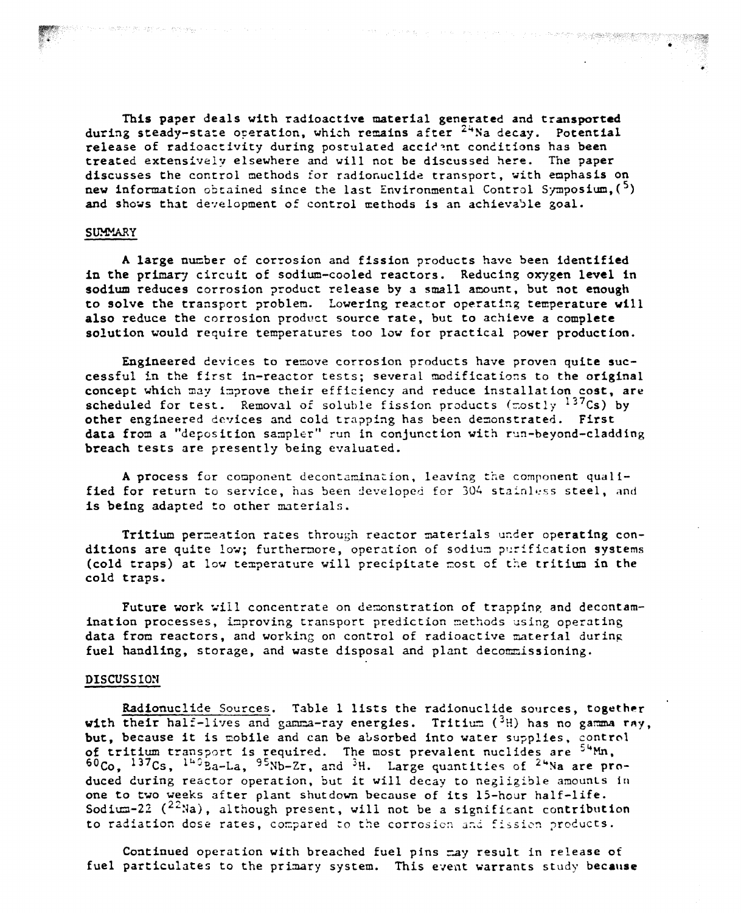This paper deals with radioactive material generated and transported during steady-state overation, which remains after  $24$ Na decay. Potential release of radioactivity during postulated accident conditions has been treated extensively elsewhere and will not be discussed here. The paper discusses the control methods for radionuclide transport, with emphasis on new information obtained since the last Environmental Control Symposium,  $(5)$ and shows that development of control methods is an achievable goal.

#### **SUMMARY**

A large number of corrosion and fission products have been identified in the primary circuit of sodium-cooled reactors. Reducing oxygen level in sodium reduces corrosion product release by a small amount, but not enough to solve the transport problem. Lowering reactor operating temperature vill also reduce the corrosion product source rate, but to achieve a complete solution would require temperatures too low for practical pover production.

Engineered cevices to remove corrosion products have proven quite successful in the first in-reactor tests; several modifications to the original concept which may improve their efficiency and reduce installation cost, are scheduled for test. Removal of soluble fission products ( $\text{costly }$ <sup>137</sup>Cs) by other engineered devices and cold trapping has been demonstrated. First data from a "deposition sampler" run in conjunction with run-beyond-cladding breach tests are presently being evaluated.

A process for component decontamination, leaving the component qualified for return to service, has been developed for 304 stainless steel, and is being adapted to other materials.

Tritium permeation rates through reactor materials under operating conditions are quite low; furthermore, operation of sodium purification systems (cold traps) at low temperature will precipitate most of the tritium in the cold traps.

Future work will concentrate on demonstration of trapping and decontamination processes, improving transport prediction methods using operating data from reactors, and working on control of radioactive material during fuel handling, storage, and waste disposal and plant decommissioning.

#### DISCUSSION

Radionuclide Sources. Table 1 lists the radionuclide sources, together with their half-lives and gamma-ray energies. Tritium  $(^3H)$  has no gamma ray, but, because it is mobile and can be absorbed into water supplies, control of tritium transport is required. The most prevalent nuclides are  $54$ Mn.  $60C_0$ ,  $137C_s$ ,  $149Ba-La$ ,  $95Nb-Zr$ , and  $3H$ . Large quantities of  $24Na$  are produced during reactor operation, but it will decay to negligible amounts in one to two weeks after plant shutdown because of its IS-hour half-life. Sodium-22 ( $^{22}$ Na), although present, will not be a significant contribution to radiation dose rates, compared to the corrosion and fission products.

Continued operation with breached fuel pins may result in release of fuel particulates to the primary system. This event warrants study because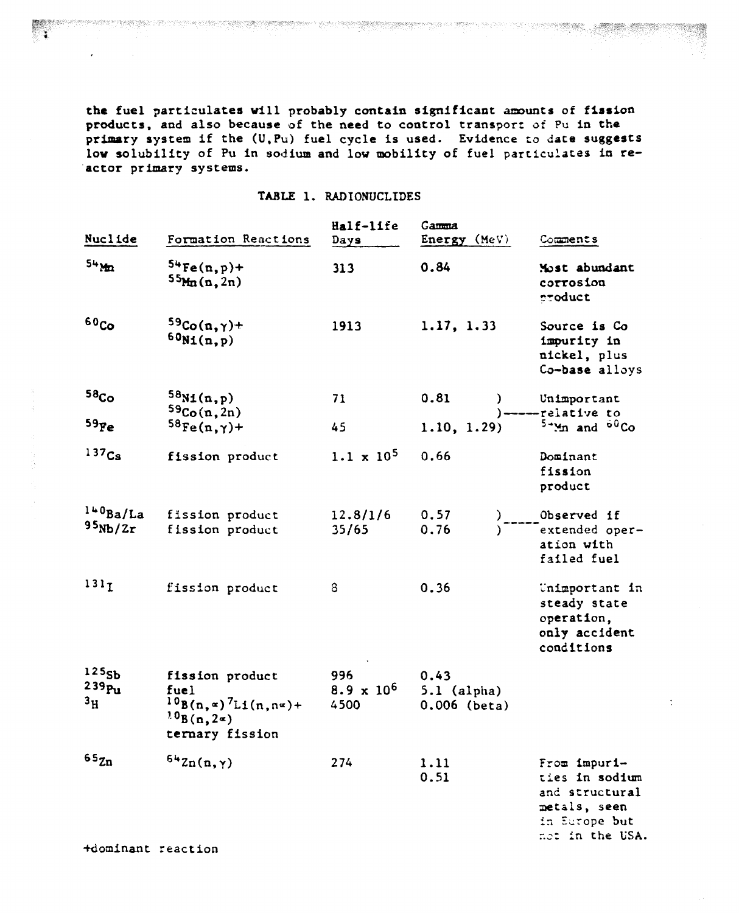the fuel particulates will probably contain significant amounts of fission products. and also because of the need to control transport of Pu in the primary system if the (U.Pu) fuel cycle is used. Evidence to date suggests low solubility of Pu in sodium and low mobility of fuel particulates in reactor primary systems.

#### TABLE 1. RADIONUCLIDES

e de la composição de la primera de la composição de la composição de composição de la composição de la composição

| Nuclide                                       | Formation Reactions                                                                                   | Half-life<br>$_{\text{days}}$    | Gamma<br>Energy $(MeV)$                 | Comments                                                                                             |
|-----------------------------------------------|-------------------------------------------------------------------------------------------------------|----------------------------------|-----------------------------------------|------------------------------------------------------------------------------------------------------|
| $54$ M <sub>2</sub>                           | $54Fe(n, p)+$<br>55Mn(n,2n)                                                                           | 313                              | 0.84                                    | Most abundant<br>corrosion<br>product                                                                |
| 60 <sub>Co</sub>                              | $59Co(n,\gamma)+$<br>$60N_1(n,p)$                                                                     | 1913                             | 1.17, 1.33                              | Source is Co<br>impurity in<br>nickel, plus<br>Co-base alloys                                        |
| 58 <sub>Co</sub><br>59 <sub>Fe</sub>          | 58M(n,p)<br>59Co(n, 2n)<br>$58Fe(n,\gamma)+$                                                          | 71<br>45                         | 0.81<br>1.10, 1.29                      | Unimportant<br>$)---relative to$<br>$5+yn$ and $60Co$                                                |
| $137$ Cs                                      | fission product                                                                                       | $1.1 \times 10^5$                | 0.66                                    | Dominant<br>fission<br>product                                                                       |
| $1+0$ Ba/La<br>95Nb/2r                        | fission product<br>fission product                                                                    | 12.8/1/6<br>35/65                | 0.57<br>0.76                            | )-----0bserved if<br>)------extended oper-<br>ation with<br>failed fuel                              |
| 131 <sub>T</sub>                              | fission product                                                                                       | 8                                | 0.36                                    | Unimportant in<br>steady state<br>operation,<br>only accident<br>conditions                          |
| 125 <sub>Sb</sub><br>239 Pu<br>3 <sub>H</sub> | fission product<br>fuel<br>$10B(n, x)^7L1(n, n^2) +$<br>$^{10}$ B(n, 2 $\approx$ )<br>ternary fission | 996<br>$8.9 \times 10^6$<br>4500 | 0.43<br>$5.1$ (alpha)<br>$0.006$ (beta) |                                                                                                      |
| $65_{Zn}$                                     | $642n(n,\gamma)$                                                                                      | 274                              | 1.11<br>0.51                            | From impuri-<br>ties in sodium<br>and structural<br>metals, seen<br>in Europe but<br>not in the USA. |

+dominant reaction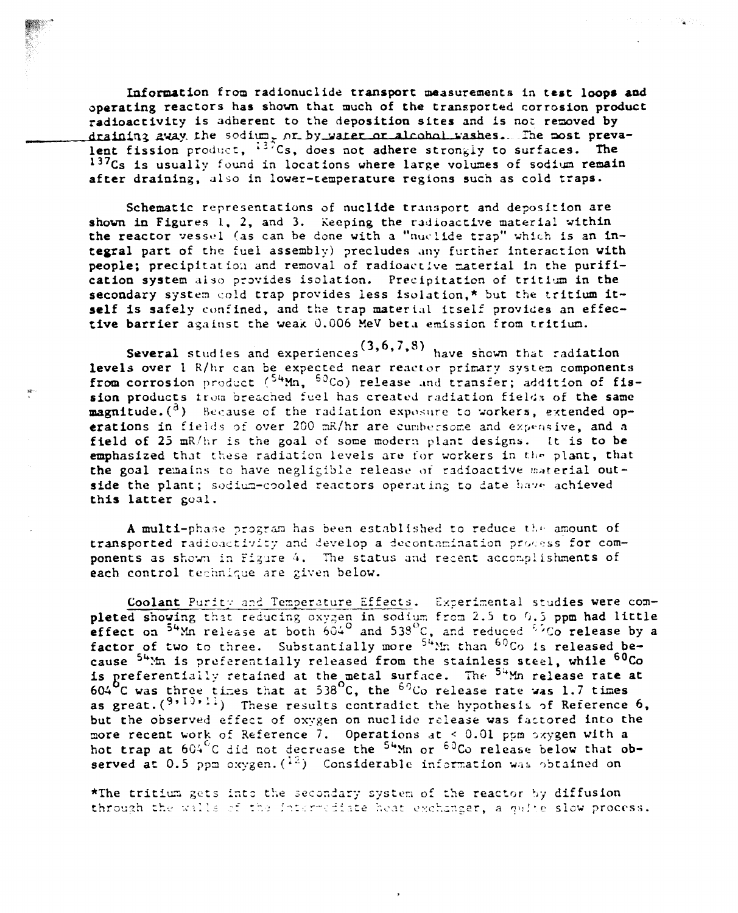Information from radionuclide transport measurements in test loops and operating reactors has shown that much of the transported corrosion product radioactivity is adherent to the deposition sites and is not removed by draining away the sodium, or by water or alcohol washes. The most prevalent fission product, 137Cs, does not adhere strongly to surfaces. The 137Cs is usually found in locations where large volumes of sodium remain after draining, also in lower-temperature regions such as cold traps.

Schematic representations of nuclide transport and deposition are shown in Figures 1, 2, and 3. Keeping the radioactive material within the reactor vessel (as can be done with a "nuclide trap" which is an integral part of the fuel assembly) precludes any further interaction with people: precipitation and removal of radioactive material in the purification system also provides isolation. Precipitation of tritium in the secondary system cold trap provides less isolation,\* but the tritium itself is safely confined, and the trap material itself provides an effective barrier against the weak 0.006 MeV beta emission from tritium.

Several studies and experiences  $(3,6,7,8)$  have shown that radiation levels over 1 R/hr can be expected near reactor primary system components from corrosion product (54Mn, 50Co) release and transfer; addition of fission products trom breached fuel has created radiation fields of the same magnitude. (<sup>3</sup>) Because of the radiation exposure to workers, extended operations in fields of over 200 mR/hr are cumbersome and expensive, and a field of 25 mR/hr is the goal of some modern plant designs. It is to be emphasized that these radiation levels are for workers in the plant, that the goal remains to have negligible release of radioactive material outside the plant; sodium-cooled reactors operating to date have achieved this latter goal.

A multi-phase program has been established to reduce the amount of transported radioactivity and develop a decontamination process for components as shown in Figure 4. The status and recent accomplishments of each control technique are given below.

Coolant Purity and Temperature Effects. Experimental studies were completed showing that reducing oxygen in sodium from 2.5 to 0.5 ppm had little effect on  $54$ Mn release at both  $604^{\circ}$  and  $538^{\circ}$ C, and reduced  $52^{\circ}$ Co release by a factor of two to three. Substantially more <sup>54</sup>Mm than 60Co is released because <sup>54</sup>. In is preferentially released from the stainless steel, while <sup>60</sup>Co is preferentially retained at the metal surface. The  $54$ Mn release rate at 604 C was three times that at 538 C, the  $69$ Co release rate was 1.7 times as great.  $(9,10,11)$  These results contradict the hypothesis of Reference 6, but the observed effect of oxygen on nuclide release was factored into the more recent work of Reference 7. Operations at < 0.01 ppm oxygen with a hot trap at  $604^{\circ}$ C did not decrease the <sup>54</sup>Mn or <sup>60</sup>Co release below that observed at 0.5 ppm oxygen.  $\binom{12}{1}$  Considerable information was obtained on

\*The tritium gets into the secondary system of the reactor by diffusion through the walls of the intermediate heat exchanger, a quite slow process.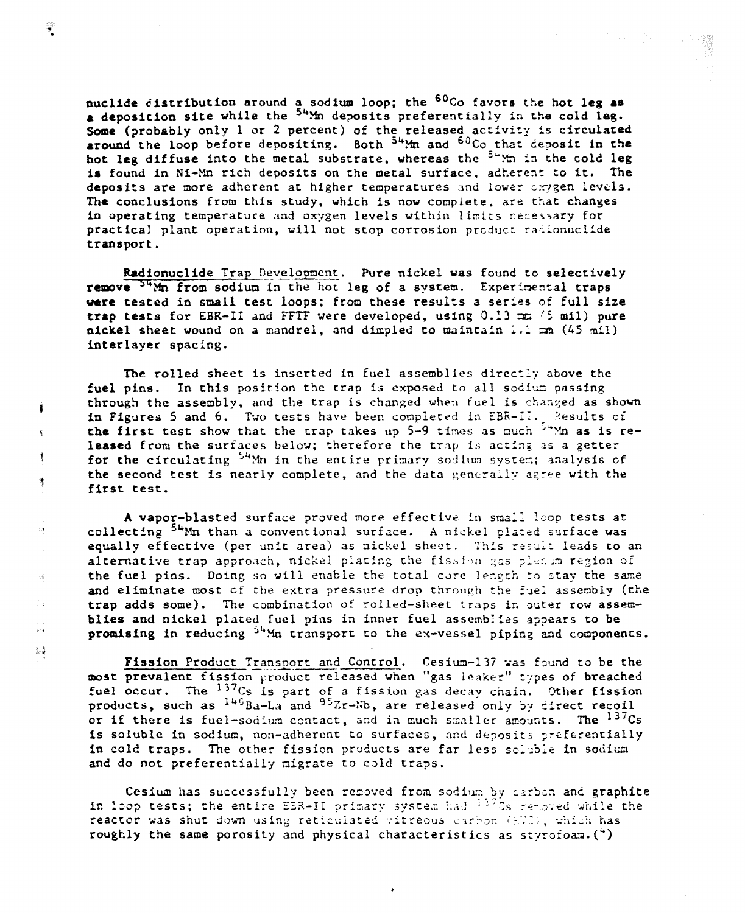nuclide distribution around a sodium loop; the <sup>60</sup>Co favors the hot leg as a deposition site while the <sup>54</sup>Mm deposits preferentially in the cold leg. Some (probably only 1 or 2 percent) of the released activity is circulated around the loop before depositing. Both <sup>54</sup>Mm and <sup>60</sup>Co that deposit in the hot leg diffuse into the metal substrate, whereas the <sup>54</sup> m in the cold leg is found in Ni-Mn rich deposits on the metal surface, adherent to it. The deposits are more adherent at higher temperatures and lower oxygen levels. The conclusions from this study, which is now complete, are that changes in operating temperature and oxygen levels within limits necessary for practical plant operation, will not stop corrosion product radionuclide transport.

Radionuclide Trap Development. Pure nickel was found to selectively remove <sup>54</sup>Mn from sodium in the hot leg of a system. Experimental traps were tested in small test loops; from these results a series of full size trap tests for EBR-II and FFTF were developed, using 0.13 mm (5 mil) pure nickel sheet wound on a mandrel, and dimpled to maintain 1.1 mm (45 mil) interlayer spacing.

The rolled sheet is inserted in fuel assemblies directly above the fuel pins. In this position the trap is exposed to all sodium passing through the assembly, and the trap is changed when fuel is changed as shown in Figures 5 and 6. Two tests have been completed in EBR-II. Results of the first test show that the trap takes up 5-9 times as much  $5^{\omega}$  Mn as is released from the surfaces below; therefore the trap is acting as a getter for the circulating <sup>54</sup>Mn in the entire primary sodium system; analysis of the second test is nearly complete, and the data generally agree with the first test.

Ĵ.

 $\hat{\mathbf{t}}$ 

 $\frac{d}{2}$ 

 $\frac{1}{3}$ 

 $\mathcal{A}$ 

 $\frac{3}{2}$ 

D.

 $\frac{1}{2}$  ,  $\frac{1}{2}$ 

 $\frac{8}{3}$ 

A vapor-blasted surface proved more effective in small loop tests at collecting <sup>54</sup>Mn than a conventional surface. A nickel plated surface was equally effective (per unit area) as nickel sheet. This result leads to an alternative trap approach, nickel plating the fission gas plenum region of the fuel pins. Doing so will enable the total core length to stay the same and eliminate most of the extra pressure drop through the fuel assembly (the trap adds some). The combination of rolled-sheet traps in outer row assemblies and nickel plated fuel pins in inner fuel assemblies appears to be promising in reducing <sup>54</sup>Mn transport to the ex-vessel piping and components.

Fission Product Transport and Control. Cesium-137 was found to be the most prevalent fission product released when "gas leaker" types of breached fuel occur. The <sup>137</sup>Cs is part of a fission gas decay chain. Other fission products, such as  $140Ba-La$  and  $95Zr-ib$ , are released only by direct recoil or if there is fuel-sodium contact, and in much smaller amounts. The <sup>137</sup>Cs is soluble in sodium, non-adherent to surfaces, and deposits preferentially in cold traps. The other fission products are far less soluble in sodium and do not preferentially migrate to cold traps.

Cesium has successfully been removed from sodium by carbon and graphite in loop tests; the entire EER-II primary system had <sup>137</sup>Cs removed while the reactor was shut down using reticulated vitreous carbon (RTC), which has roughly the same porosity and physical characteristics as styrofoam.  $(4)$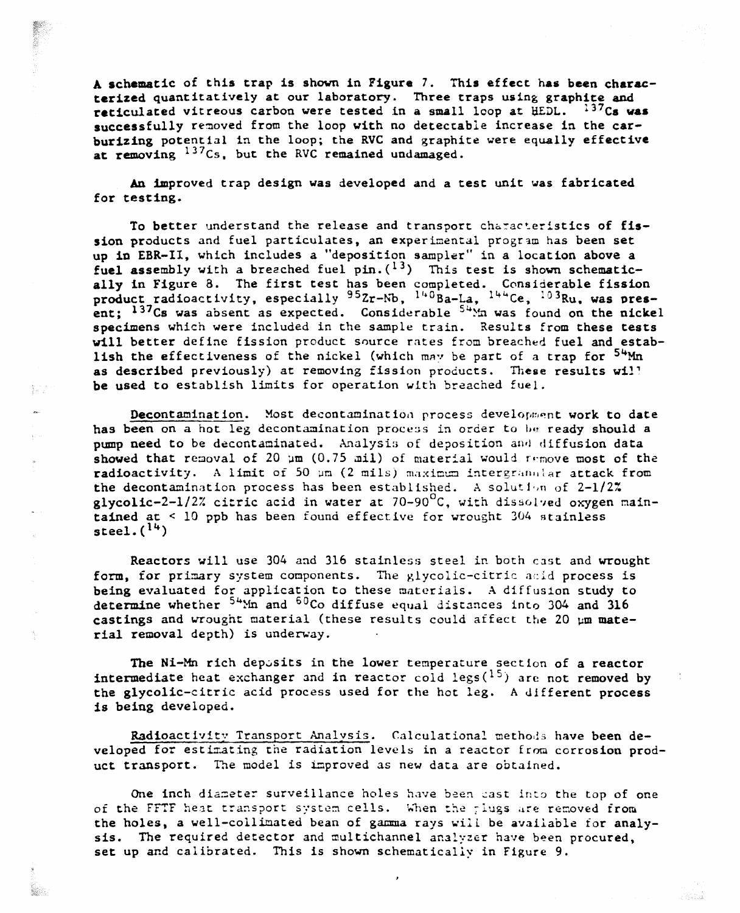A schematic of this trap is shown in Figure 7. This effect has been characterized quantitatively at our laboratory. Three traps using graphite and reticulated vitreous carbon were tested in a small lcop at  $\text{HEDL.}$  137Cs was successfully removed from the loop with no detectable increase in the carburizing potential in the loop; the RVC and graphite were equally effective at removing  $137Cs$ , but the RVC remained undamaged.

An improved trap design was developed and a test unit was fabricated for testing.

To better understand the release and transport characteristics of fission products and fuel particulates, an experimental program has been set up in ERR-II, which includes a "deposition sampler" in a location above a fuel assembly with a breached fuel pin.  $(^{13})$  This test is shown schematically in Figure 8. The first test has been completed. Considerable fission product radioactivity, especially  $95Zr-Nb$ , <sup>140</sup>Ba-La, <sup>144</sup>Ce, <sup>103</sup>Ru, was present;  $137Cs$  was absent as expected. Considerable  $54\text{Mn}$  was found on the nickel specimens which were included in the sample train. Results from these tests will better define fission product source rates from breached fuel and establish the effectiveness of the nickel (which may be part of a trap for  $54$ Mn as described previously) at removing fission products. These results will be used to establish limits for operation with breached fuel.

Decontamination. Most decontamination process development work to date has been on a hot leg decontamination process in order to be ready should a pump need to be decontaminated. Analysis of deposition and diffusion data showed that removal of 20  $\mu$ m (0.75 mil) of material would remove most of the radioactivity. A limit of 50 µm (2 mils) maximum intergranular attack from the decontamination process has been established. A solution of  $2-1/2\%$ glycolic-2-1/2% citric acid in water at 70-90 $^{\circ}$ C, with dissolved oxygen maintained at <sup>&</sup>lt; 10 ppb has been found effective for wrought 304 »tainless steel.  $(14)$ 

 $\frac{1}{2} \frac{1}{\mu} \frac{1}{\xi}$ 

 $\frac{d_1}{2}$ 

Reactors will use 304 and 316 stainless steel in both cast and wrought form, for primary system components. The glycolic-citric acid process is being evaluated for application to these materials. A diffuslon study to determine whether  $54$ <sup>M</sup>m and  $60$ Co diffuse equal distances into 304 and 316 castings and wrought material (these results could affect the 20  $\mu$ m material removal depth) is underway.

The Ni-Mn rich deposits in the lower temperature section of a reactor **intermediate** heat exchanger and in reactor cold legs( $^{15}$ ) are not removed by the glycolic-citric acid process used for the hot leg. A different process is being developed.

Radioactivity Transport Analysis. Calculational methods have been developed for estimating the radiation levels in a reactor from corrosion product transport. The model is improved as new data are obtained.

One inch diameter surveillance holes have been cast into the top of one of the FFTF heat transport system cells. When the plugs are removed from the holes, a well-collimated bean of gamma rays will be available for analysis. The required detector and multichannel analyzer have been procured. set up and calibrated. This is shown schematically in Figure 9.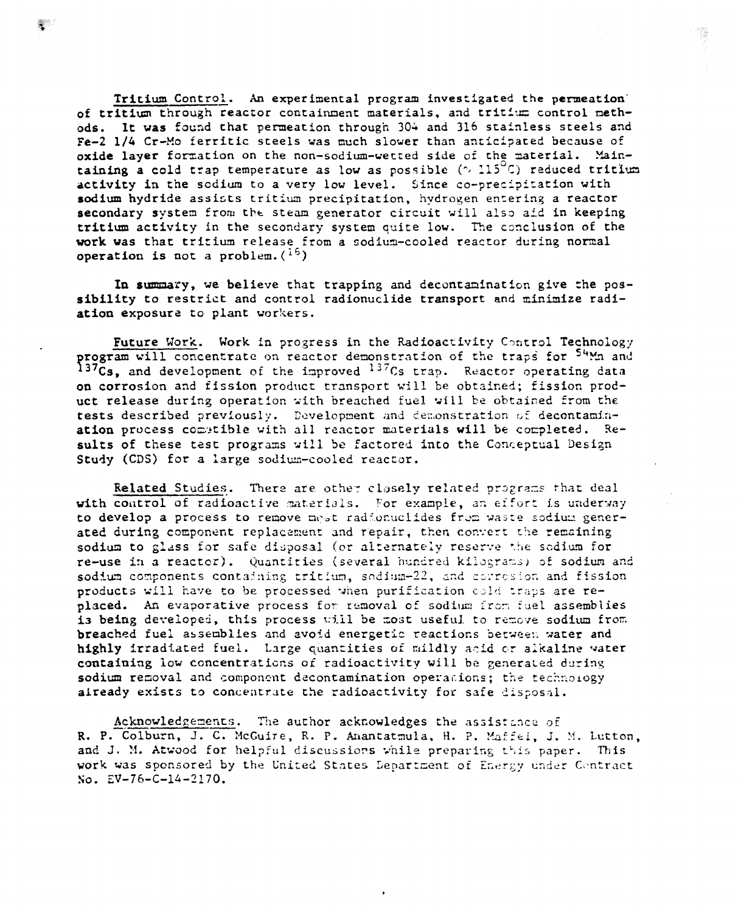tricium Control. An experimental program investigated the permeation· of tritium through reactor containment materials, and tritium control methods. It was found that permeation through 304 and 316 stainless steels and Fe-2 1/4 Cr-Ho ferritic steels was much slower than anticipated because of oxide layer formation on the non-sodium-wetted side of the material. Maintaining a cold trap temperature as low as possible  $( \sim 115^{\circ} C)$  reduced tritium activity in the sodium to a very low level. Since co-precipitation with sodium hydride assists tritium precipitation, hydrogen entering a reactor secondary system from the steam generator circuit will also aid in keeping tritium activity in the secondary system quite low. The conclusion of the work was that tritium release from a sodium-cooled reactor during normal operation is not a problem.  $({}^{16})$ 

In summary, we believe that trapping and decontamination give the possibility to restrict and control radionuclide transport and minimize radiation exposure to plant workers.

Future Work. Work in progress in the Radioactivity Control Technology program will concentrate on reactor demonstration of the traps for <sup>54</sup>Mn and 137 $\tilde{C}s$ , and development of the improved  $^{137}Cs$  trap. Reactor operating data on corrosion and fission product transport will be obtained; fission product release during operation with breached fuel will be obtained from the tests described previously. Development and demonstration of decontamination process comptible with all reactor materials will be completed. Results of these test programs will be factored into the Conceptual Design Study (CDS) for a large sodium-cooled reactor.

Related Studies. There are other closely related programs that deal with control of radioactive materials. For example, an effort is underway to develop a process to remove mest radionuclides from waste sodium generated during component replacement and repair, then convert the remaining sodium to glass for safe disposal (or alternately reserve the sodium for re-use in a reactor). Quantities (several hundred kilograms) of sodium and sodium components containing tritium, sodiam-22, and corresion and fission products will have to be processed when purification cold traps are replaced. An evaporative process for removal of sodium from fuel assemblies is being developed, this process will be most useful to remove sodium from breached fuel assemblies and avoid energetic reactions between water and highly irradiated fuel. Large quantities of mildly acid or alkaline water containing low concentrations of radioactivity will be generated during sodium removal and component decontamination operacions; the technology already exists to concentrate the radioactivity for safe disposal.

Acknowledgements. The author acknowledges the assistance of R. P. Colburn, J. C. McGuire, R. P. Anantatmula, H. P. Maffei, J. M. Lutton, and J. M. Atwood for helpful discussions while preparing this paper. This work was sponsored by the United States Department of Energy under Contract So. EV-76-C-l4-2170.

i,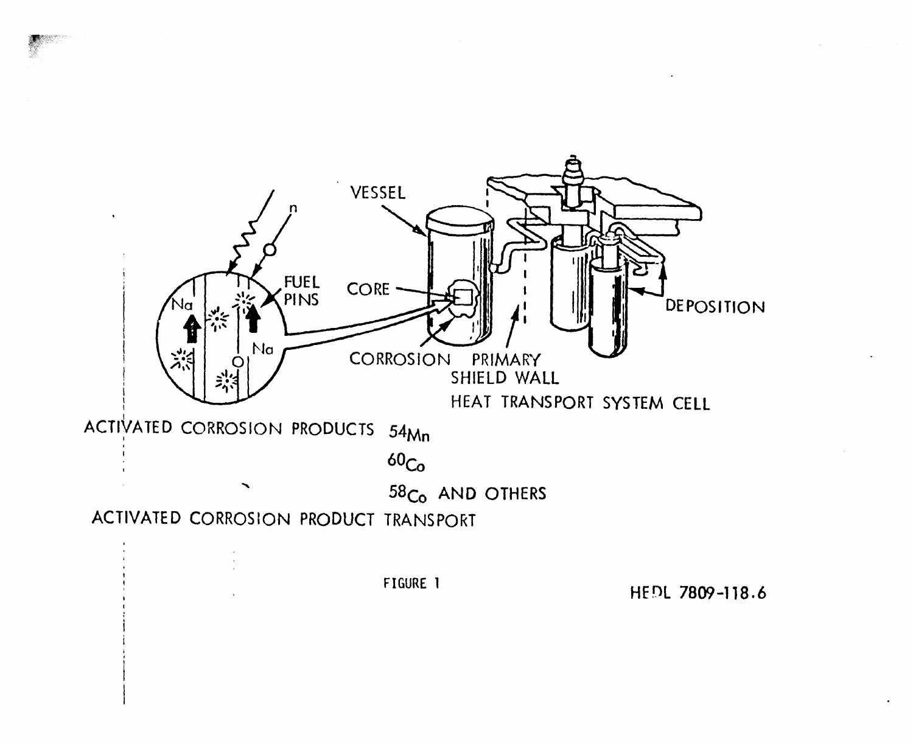

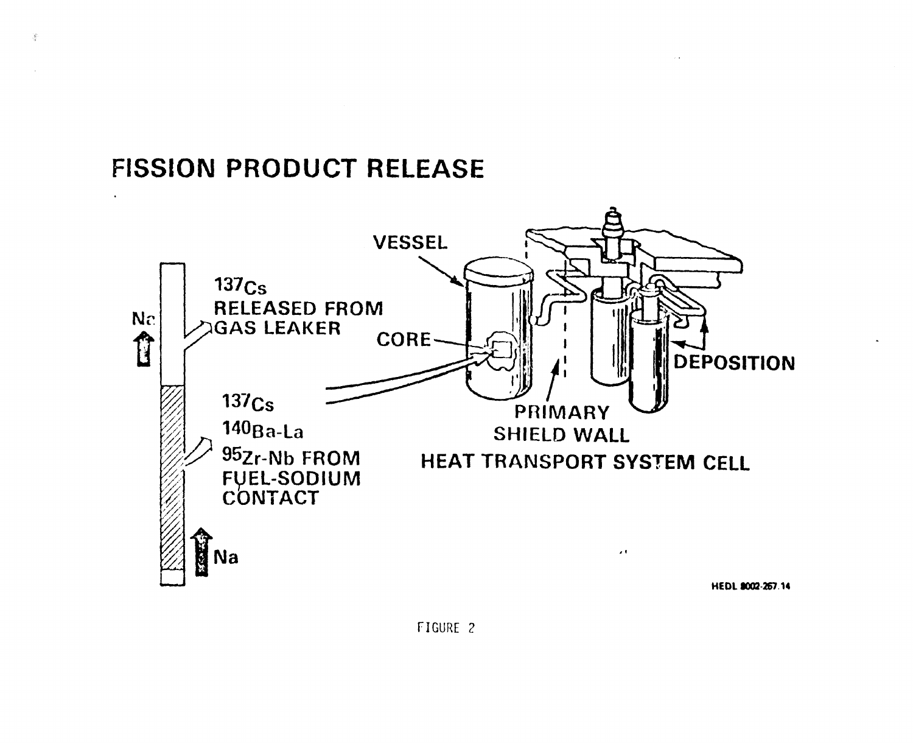# **FISSION PRODUCT RELEASE**

 $\frac{1}{\sqrt{2}}\sum_{i=1}^{N}$ 

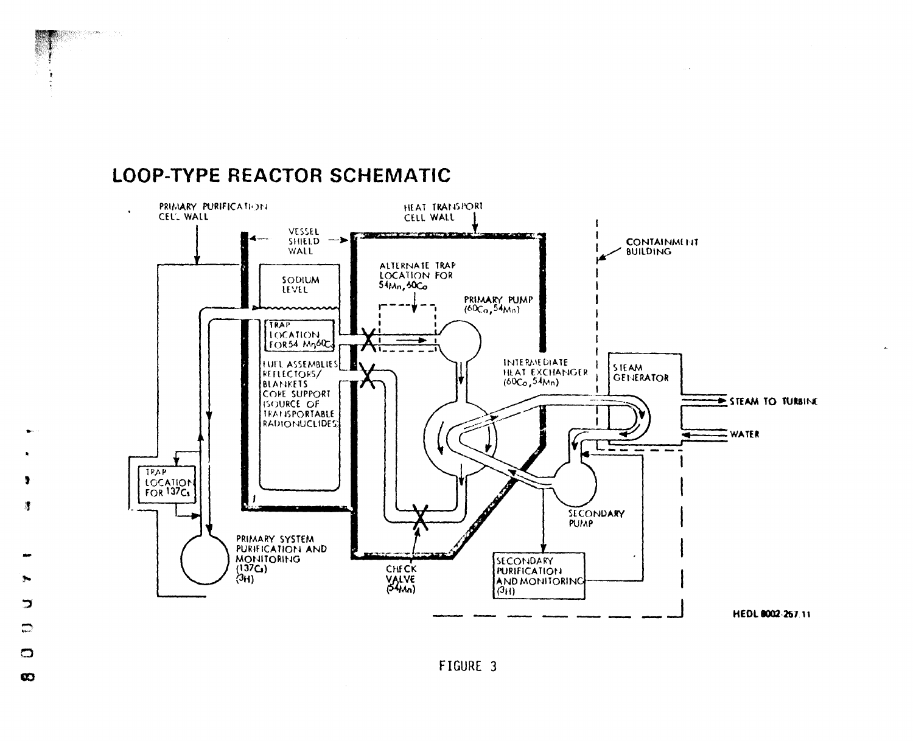### **LOOP-TYPE REACTOR SCHEMATIC**



 $\sim$   $\sim$ 



 $\Box$  $\infty$ 

<u>"J</u>

 $\mathbb{Z}$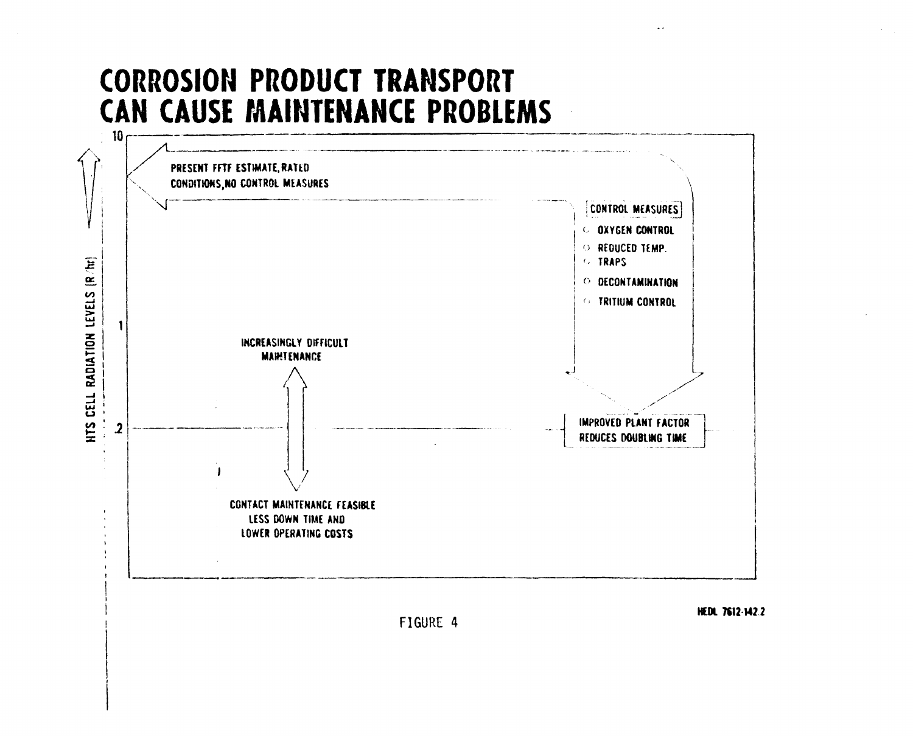# **CORROSION PRODUCT TRANSPORT** CAN CAUSE MAINTENANCE PROBLEMS



FIGURE 4

HEDL 7612-142.2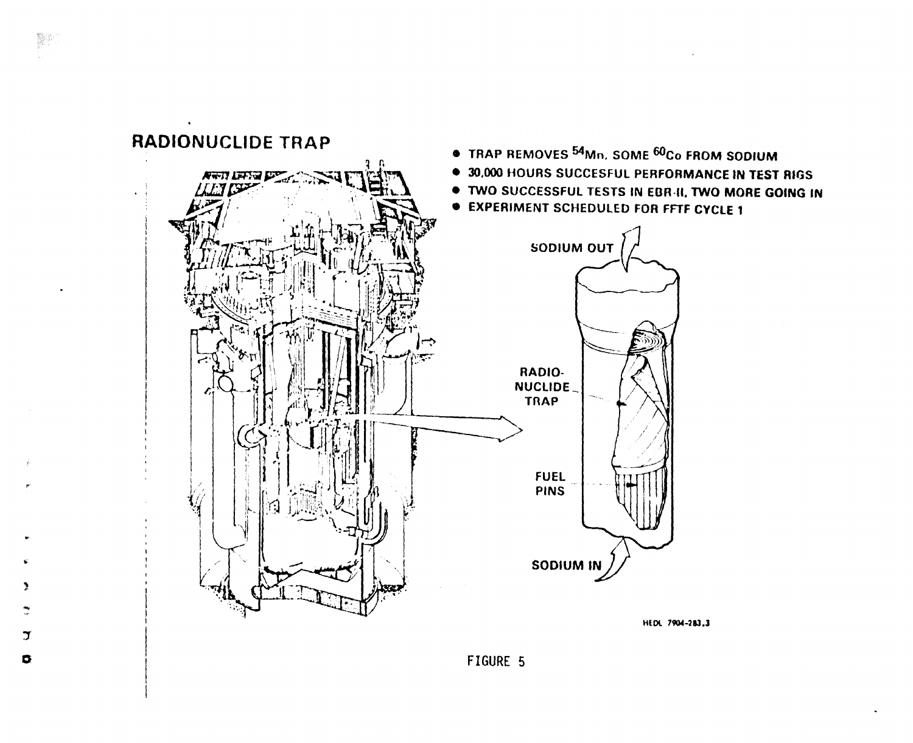

 $\begin{picture}(20,20) \put(0,0){\vector(0,1){30}} \put(15,0){\vector(0,1){30}} \put(15,0){\vector(0,1){30}} \put(15,0){\vector(0,1){30}} \put(15,0){\vector(0,1){30}} \put(15,0){\vector(0,1){30}} \put(15,0){\vector(0,1){30}} \put(15,0){\vector(0,1){30}} \put(15,0){\vector(0,1){30}} \put(15,0){\vector(0,1){30}} \put(15,0){\vector(0,1){30}} \put(15,0){\vector(0$ 

 $\mathbf{y}$ 

 $\bullet$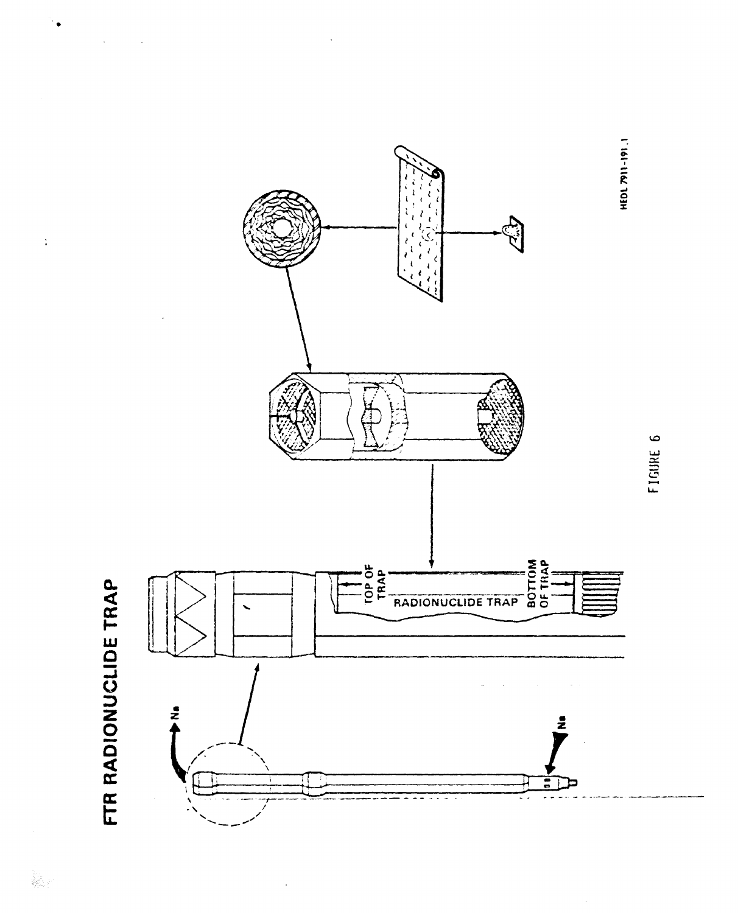

FIGURE 6

 $\hat{\boldsymbol{\beta}}$ 

 $\ddot{\bullet}$ 

 $\frac{1}{4}$ 

 $\bar{\lambda}$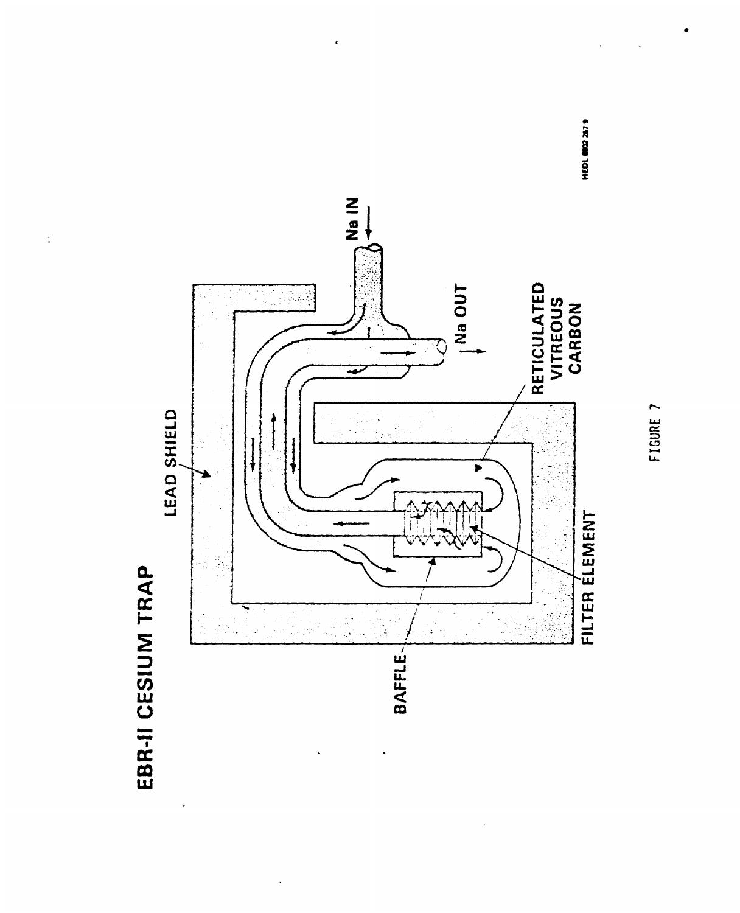

 $\frac{1}{2}$ 



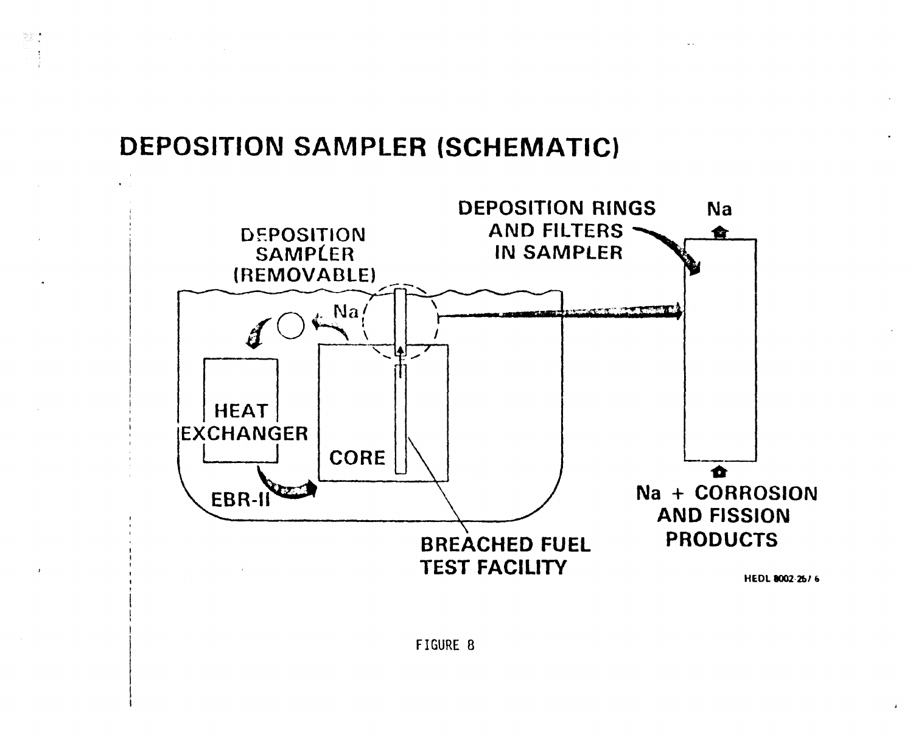## DEPOSITION SAMPLER (SCHEMATIC)

 $\sum_{\substack{p\in\mathbb{Z}^3\\(p,q)=p}}\sum_{\substack{p\in\mathbb{Z}^3\\(p,q)=p}}\mathbb{Z}^2\left(\frac{p}{p}\right)^{\frac{p}{p}}\leq\frac{1}{2\pi}\sum_{p\in\mathbb{Z}^3}\mathbb{Z}^2\left(\frac{p}{p}\right)^{\frac{p}{p}}\leq\frac{1}{2\pi}\sum_{p\in\mathbb{Z}^3}\mathbb{Z}^2\left(\frac{p}{p}\right)^{\frac{p}{p}}\leq\frac{1}{2\pi}\sum_{p\in\mathbb{Z}^3}\mathbb{Z}^2\left(\frac{p}{p}\$